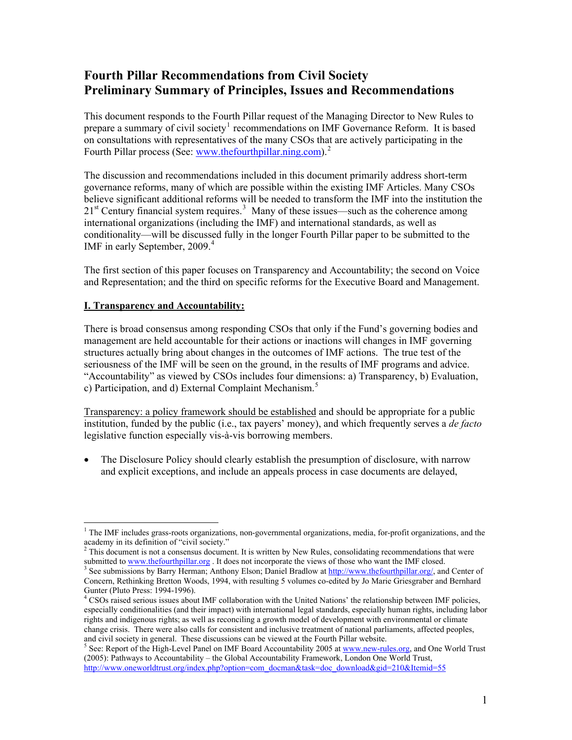# **Fourth Pillar Recommendations from Civil Society Preliminary Summary of Principles, Issues and Recommendations**

This document responds to the Fourth Pillar request of the Managing Director to New Rules to prepare a summary of civil society<sup>[1](#page-0-0)</sup> recommendations on IMF Governance Reform. It is based on consultations with representatives of the many CSOs that are actively participating in the Fourth Pillar process (See: [www.thefourthpillar.ning.co](http://www.thefourthpillar.ning.com/)m).<sup>[2](http://www.thefourthpillar.ning.com/)</sup>

The discussion and recommendations included in this document primarily address short-term governance reforms, many of which are possible within the existing IMF Articles. Many CSOs believe significant additional reforms will be needed to transform the IMF into the institution the  $21<sup>st</sup>$  Century financial system requires.<sup>[3](#page-0-1)</sup> Many of these issues—such as the coherence among international organizations (including the IMF) and international standards, as well as conditionality—will be discussed fully in the longer Fourth Pillar paper to be submitted to the IMF in early September, 2009.<sup>[4](#page-0-2)</sup>

The first section of this paper focuses on Transparency and Accountability; the second on Voice and Representation; and the third on specific reforms for the Executive Board and Management.

## **I. Transparency and Accountability:**

There is broad consensus among responding CSOs that only if the Fund's governing bodies and management are held accountable for their actions or inactions will changes in IMF governing structures actually bring about changes in the outcomes of IMF actions. The true test of the seriousness of the IMF will be seen on the ground, in the results of IMF programs and advice. "Accountability" as viewed by CSOs includes four dimensions: a) Transparency, b) Evaluation, c) Participation, and d) External Complaint Mechanism.<sup>[5](#page-0-3)</sup>

Transparency: a policy framework should be established and should be appropriate for a public institution, funded by the public (i.e., tax payers' money), and which frequently serves a *de facto* legislative function especially vis-à-vis borrowing members.

 The Disclosure Policy should clearly establish the presumption of disclosure, with narrow and explicit exceptions, and include an appeals process in case documents are delayed,

<span id="page-0-0"></span> $\overline{a}$ <sup>1</sup> The IMF includes grass-roots organizations, non-governmental organizations, media, for-profit organizations, and the academy in its definition of "civil society."<br><sup>2</sup> This document is not a consensus document

This document is not a consensus document. It is written by New Rules, consolidating recommendations that were submitted to www.thefourthpillar.org. It does not incorporate the views of those who want the IMF closed.

<span id="page-0-1"></span><sup>&</sup>lt;sup>3</sup> See submissions by Barry Herman; Anthony Elson; Daniel Bradlow at [http://www.thefourthpillar.org/,](http://www.thefourthpillar.org/) and Center of Concern, Rethinking Bretton Woods, 1994, with resulting 5 volumes co-edited by Jo Marie Griesgraber and Bernhard Gunter (Pluto Press: 1994-1996).

<span id="page-0-2"></span><sup>&</sup>lt;sup>4</sup> CSOs raised serious issues about IMF collaboration with the United Nations' the relationship between IMF policies, especially conditionalities (and their impact) with international legal standards, especially human rights, including labor rights and indigenous rights; as well as reconciling a growth model of development with environmental or climate change crisis. There were also calls for consistent and inclusive treatment of national parliaments, affected peoples, and civil society in general. These discussions can be viewed at the Fourth Pillar website. 5

<span id="page-0-3"></span> $S$  See: Report of the High-Level Panel on IMF Board Accountability 2005 at [www.new-rules.org,](http://www.new-rules.org/) and One World Trust (2005): Pathways to Accountability – the Global Accountability Framework, London One World Trust, [http://www.oneworldtrust.org/index.php?option=com\\_docman&task=doc\\_download&gid=210&Itemid=55](http://www.oneworldtrust.org/index.php?option=com_docman&task=doc_download&gid=210&Itemid=55)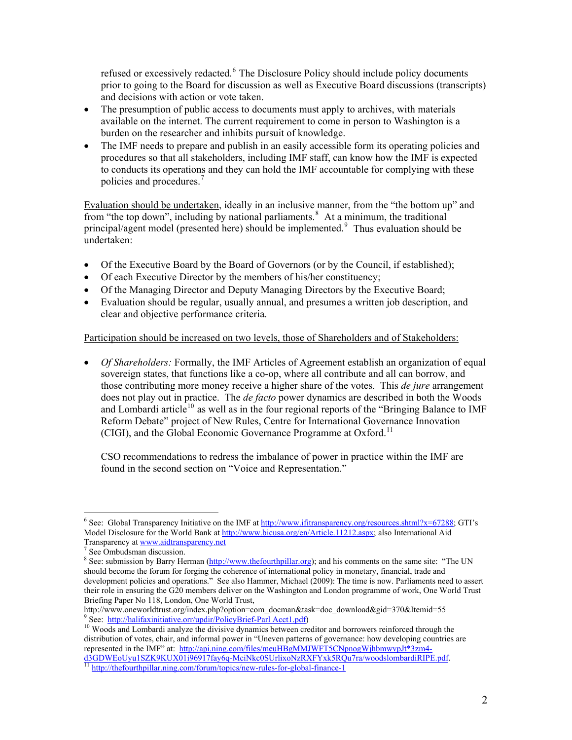refused or excessively redacted.<sup>6</sup> The Disclosure Policy should include policy documents prior to going to the Board for discussion as well as Executive Board discussions (transcripts) and decisions with action or vote taken.

- The presumption of public access to documents must apply to archives, with materials available on the internet. The current requirement to come in person to Washington is a burden on the researcher and inhibits pursuit of knowledge.
- The IMF needs to prepare and publish in an easily accessible form its operating policies and procedures so that all stakeholders, including IMF staff, can know how the IMF is expected to conducts its operations and they can hold the IMF accountable for complying with these policies and procedures.[7](#page-1-0)

Evaluation should be undertaken, ideally in an inclusive manner, from the "the bottom up" and from "the top down", including by national parliaments.<sup>[8](#page-1-1)</sup> At a minimum, the traditional principal/agent model (presented here) should be implemented. Thus evaluation should be undertaken:

- Of the Executive Board by the Board of Governors (or by the Council, if established);
- Of each Executive Director by the members of his/her constituency;
- Of the Managing Director and Deputy Managing Directors by the Executive Board;
- Evaluation should be regular, usually annual, and presumes a written job description, and clear and objective performance criteria.

## Participation should be increased on two levels, those of Shareholders and of Stakeholders:

 *Of Shareholders:* Formally, the IMF Articles of Agreement establish an organization of equal sovereign states, that functions like a co-op, where all contribute and all can borrow, and those contributing more money receive a higher share of the votes. This *de jure* arrangement does not play out in practice. The *de facto* power dynamics are described in both the Woods and Lombardi article<sup>[10](#page-1-3)</sup> as well as in the four regional reports of the "Bringing Balance to IMF" Reform Debate" project of New Rules, Centre for International Governance Innovation (CIGI), and the Global Economic Governance Programme at Oxford.<sup>[11](#page-1-4)</sup>

CSO recommendations to redress the imbalance of power in practice within the IMF are found in the second section on "Voice and Representation."

 $\overline{a}$ <sup>6</sup> See: Global Transparency Initiative on the IMF at [http://www.ifitransparency.org/resources.shtml?x=67288;](http://www.ifitransparency.org/resources.shtml?x=67288) GTI's Model Disclosure for the World Bank at <http://www.bicusa.org/en/Article.11212.aspx>; also International Aid Transparency at [www.aidtransparency.net](http://www.aidtransparency.net/)

See Ombudsman discussion.

<span id="page-1-1"></span><span id="page-1-0"></span><sup>&</sup>lt;sup>8</sup> See: submission by Barry Herman ( $\frac{http://www.thefourthpillar.org}{http://www.thefourthpillar.org}$ ); and his comments on the same site: "The UN should become the forum for forging the coherence of international policy in monetary, financial, trade and development policies and operations." See also Hammer, Michael (2009): The time is now. Parliaments need to assert their role in ensuring the G20 members deliver on the Washington and London programme of work, One World Trust Briefing Paper No 118, London, One World Trust,

http://www.oneworldtrust.org/index.php?option=com\_docman&task=doc\_download&gid=370&Itemid=55 9<br>See: http://halifaxinitiative.orr/updir/PolicyBrief-Parl Acct1.pdf)

<span id="page-1-3"></span><span id="page-1-2"></span><sup>&</sup>lt;sup>10</sup> Woods and Lombardi analyze the divisive dynamics between creditor and borrowers reinforced through the distribution of votes, chair, and informal power in "Uneven patterns of governance: how developing countries are represented in the IMF" at: [http://api.ning.com/files/meuHBgMMJWFT5CNpnogWjhbmwvpJt\\*3zm4](http://api.ning.com/files/meuHBgMMJWFT5CNpnogWjhbmwvpJt*3zm4-d3GDWEoUyu1SZK9KUX01i96917fay6q-MciNkc0SUrlixoNzRXFYxk5RQu7ra/woodslombardiRIPE.pdf) [d3GDWEoUyu1SZK9KUX01i96917fay6q-MciNkc0SUrlixoNzRXFYxk5RQu7ra/woodslombardiRIPE.pdf](http://api.ning.com/files/meuHBgMMJWFT5CNpnogWjhbmwvpJt*3zm4-d3GDWEoUyu1SZK9KUX01i96917fay6q-MciNkc0SUrlixoNzRXFYxk5RQu7ra/woodslombardiRIPE.pdf). [11](http://api.ning.com/files/meuHBgMMJWFT5CNpnogWjhbmwvpJt*3zm4-d3GDWEoUyu1SZK9KUX01i96917fay6q-MciNkc0SUrlixoNzRXFYxk5RQu7ra/woodslombardiRIPE.pdf) <http://thefourthpillar.ning.com/forum/topics/new-rules-for-global-finance-1>

<span id="page-1-4"></span>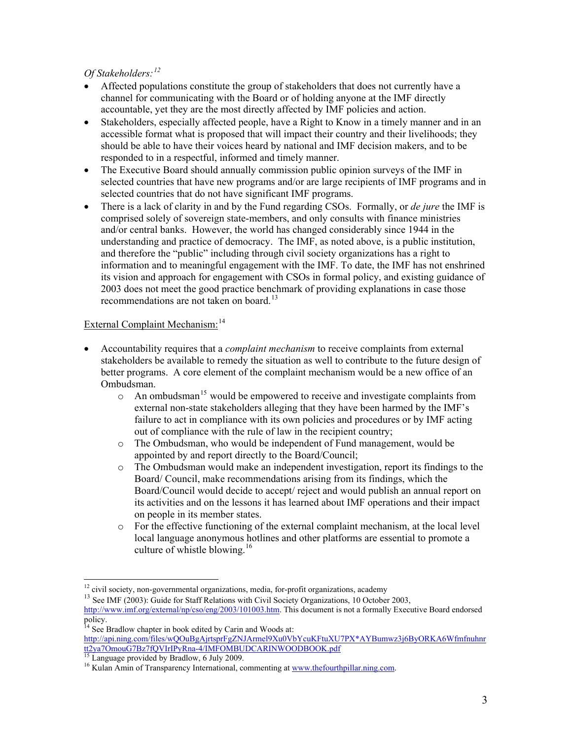*Of Stakeholders:[12](#page-2-0)*

- Affected populations constitute the group of stakeholders that does not currently have a channel for communicating with the Board or of holding anyone at the IMF directly accountable, yet they are the most directly affected by IMF policies and action.
- Stakeholders, especially affected people, have a Right to Know in a timely manner and in an accessible format what is proposed that will impact their country and their livelihoods; they should be able to have their voices heard by national and IMF decision makers, and to be responded to in a respectful, informed and timely manner.
- The Executive Board should annually commission public opinion surveys of the IMF in selected countries that have new programs and/or are large recipients of IMF programs and in selected countries that do not have significant IMF programs.
- There is a lack of clarity in and by the Fund regarding CSOs. Formally, or *de jure* the IMF is comprised solely of sovereign state-members, and only consults with finance ministries and/or central banks. However, the world has changed considerably since 1944 in the understanding and practice of democracy. The IMF, as noted above, is a public institution, and therefore the "public" including through civil society organizations has a right to information and to meaningful engagement with the IMF. To date, the IMF has not enshrined its vision and approach for engagement with CSOs in formal policy, and existing guidance of 2003 does not meet the good practice benchmark of providing explanations in case those recommendations are not taken on board.<sup>[13](#page-2-1)</sup>

# External Complaint Mechanism:<sup>[14](#page-2-2)</sup>

- Accountability requires that a *complaint mechanism* to receive complaints from external stakeholders be available to remedy the situation as well to contribute to the future design of better programs. A core element of the complaint mechanism would be a new office of an Ombudsman.
	- $\circ$  An ombudsman<sup>[15](#page-2-3)</sup> would be empowered to receive and investigate complaints from external non-state stakeholders alleging that they have been harmed by the IMF's failure to act in compliance with its own policies and procedures or by IMF acting out of compliance with the rule of law in the recipient country;
	- o The Ombudsman, who would be independent of Fund management, would be appointed by and report directly to the Board/Council;
	- o The Ombudsman would make an independent investigation, report its findings to the Board/ Council, make recommendations arising from its findings, which the Board/Council would decide to accept/ reject and would publish an annual report on its activities and on the lessons it has learned about IMF operations and their impact on people in its member states.
	- $\circ$  For the effective functioning of the external complaint mechanism, at the local level local language anonymous hotlines and other platforms are essential to promote a culture of whistle blowing. $16$

<span id="page-2-0"></span><sup>&</sup>lt;sup>12</sup> civil society, non-governmental organizations, media, for-profit organizations, academy

<span id="page-2-1"></span><sup>&</sup>lt;sup>13</sup> See IMF (2003): Guide for Staff Relations with Civil Society Organizations, 10 October 2003, <http://www.imf.org/external/np/cso/eng/2003/101003.htm>. This document is not a formally Executive Board endorsed policy.

<span id="page-2-2"></span> $14$  See Bradlow chapter in book edited by Carin and Woods at: [http://api.ning.com/files/wQOuBgAjrtsprFgZNJArmel9Xu0VbYcuKFtuXU7PX\\*AYBumwz3j6ByORKA6Wfmfnuhnr](http://api.ning.com/files/wQOuBgAjrtsprFgZNJArmel9Xu0VbYcuKFtuXU7PX*AYBumwz3j6ByORKA6Wfmfnuhnrtt2ya7OmouG7Bz7fQVIrIPyRna-4/IMFOMBUDCARINWOODBOOK.pdf) [tt2ya7OmouG7Bz7fQVIrIPyRna-4/IMFOMBUDCARINWOODBOOK.pdf](http://api.ning.com/files/wQOuBgAjrtsprFgZNJArmel9Xu0VbYcuKFtuXU7PX*AYBumwz3j6ByORKA6Wfmfnuhnrtt2ya7OmouG7Bz7fQVIrIPyRna-4/IMFOMBUDCARINWOODBOOK.pdf)

<span id="page-2-3"></span><sup>&</sup>lt;sup>15</sup> Language provided by Bradlow, 6 July 2009.

<span id="page-2-4"></span><sup>&</sup>lt;sup>16</sup> Kulan Amin of Transparency International, commenting at [www.thefourthpillar.ning.com](http://www.thefourthpillar.ning.com/).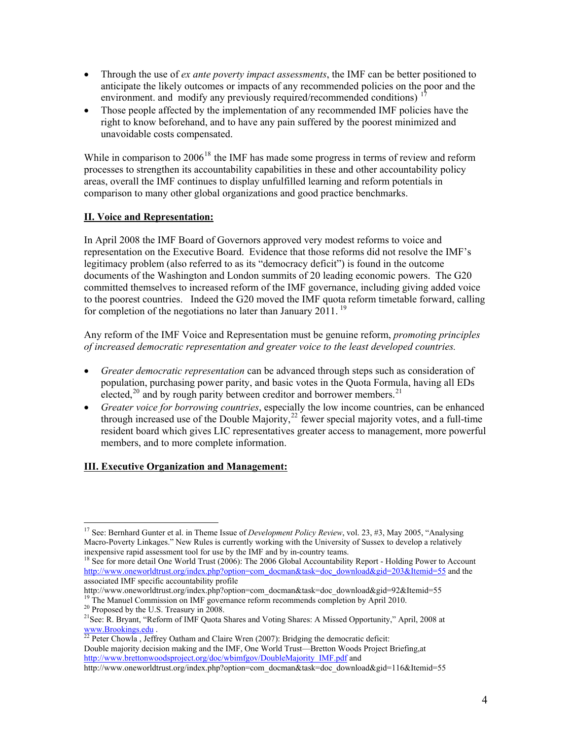- Through the use of *ex ante poverty impact assessments*, the IMF can be better positioned to anticipate the likely outcomes or impacts of any recommended policies on the poor and the environment. and modify any previously required/recommended conditions)<sup>[17](#page-3-0)</sup>
- Those people affected by the implementation of any recommended IMF policies have the right to know beforehand, and to have any pain suffered by the poorest minimized and unavoidable costs compensated.

While in comparison to  $2006^{18}$  $2006^{18}$  $2006^{18}$  the IMF has made some progress in terms of review and reform processes to strengthen its accountability capabilities in these and other accountability policy areas, overall the IMF continues to display unfulfilled learning and reform potentials in comparison to many other global organizations and good practice benchmarks.

## **II. Voice and Representation:**

In April 2008 the IMF Board of Governors approved very modest reforms to voice and representation on the Executive Board. Evidence that those reforms did not resolve the IMF's legitimacy problem (also referred to as its "democracy deficit") is found in the outcome documents of the Washington and London summits of 20 leading economic powers. The G20 committed themselves to increased reform of the IMF governance, including giving added voice to the poorest countries. Indeed the G20 moved the IMF quota reform timetable forward, calling for completion of the negotiations no later than January 2011.<sup>[19](#page-3-2)</sup>

Any reform of the IMF Voice and Representation must be genuine reform, *promoting principles of increased democratic representation and greater voice to the least developed countries.*

- *Greater democratic representation* can be advanced through steps such as consideration of population, purchasing power parity, and basic votes in the Quota Formula, having all EDs elected,<sup>[20](#page-3-3)</sup> and by rough parity between creditor and borrower members.<sup>[21](#page-3-4)</sup>
- *Greater voice for borrowing countries*, especially the low income countries, can be enhanced through increased use of the Double Majority,<sup>[22](#page-3-5)</sup> fewer special majority votes, and a full-time resident board which gives LIC representatives greater access to management, more powerful members, and to more complete information.

# **III. Executive Organization and Management:**

<span id="page-3-0"></span> $\overline{a}$ <sup>17</sup> See: Bernhard Gunter et al. in Theme Issue of *Development Policy Review*, vol. 23, #3, May 2005, "Analysing Macro-Poverty Linkages." New Rules is currently working with the University of Sussex to develop a relatively inexpensive rapid assessment tool for use by the IMF and by in-country teams.

<span id="page-3-1"></span><sup>&</sup>lt;sup>18</sup> See for more detail One World Trust (2006): The 2006 Global Accountability Report - Holding Power to Account [http://www.oneworldtrust.org/index.php?option=com\\_docman&task=doc\\_download&gid=203&Itemid=55](http://www.oneworldtrust.org/index.php?option=com_docman&task=doc_download&gid=203&Itemid=55) and the associated IMF specific accountability profile

<span id="page-3-2"></span>http://www.oneworldtrust.org/index.php?option=com\_docman&task=doc\_download&gid=92&Itemid=55 <sup>19</sup> The Manuel Commission on IMF governance reform recommends completion by April 2010. <sup>20</sup> Proposed by the U.S. Treasury in 200

<span id="page-3-4"></span><span id="page-3-3"></span><sup>&</sup>lt;sup>21</sup>See: R. Brvant, "Reform of IMF Quota Shares and Voting Shares: A Missed Opportunity," April, 2008 at [www.Brookings.edu](http://www.brookings.edu/) .<br><sup>[22](http://www.brookings.edu/)</sup> Peter Chowla , Jeffrey Oatham and Claire Wren (2007): Bridging the democratic deficit:

<span id="page-3-5"></span>Double majority decision making and the IMF, One World Trust—Bretton Woods Project Briefing,at [http://www.brettonwoodsproject.org/doc/wbimfgov/DoubleMajority\\_IMF.pdf](http://www.brettonwoodsproject.org/doc/wbimfgov/DoubleMajority_IMF.pdf) and

http://www.oneworldtrust.org/index.php?option=com\_docman&task=doc\_download&gid=116&Itemid=55